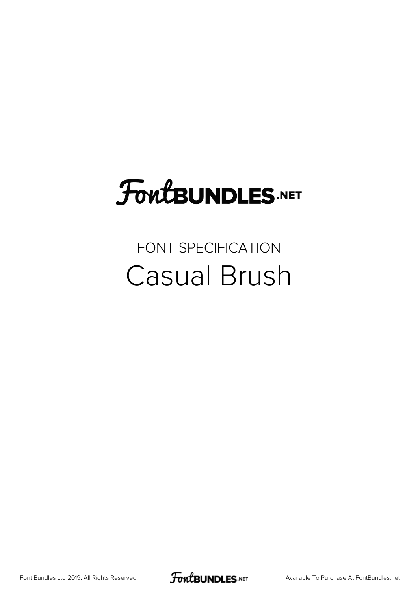## FoutBUNDLES.NET

## FONT SPECIFICATION Casual Brush

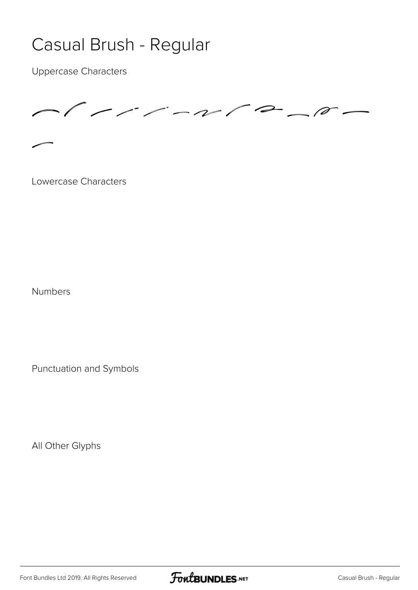## Casual Brush - Regular

Uppercase Characters



Lowercase Characters

Numbers

Punctuation and Symbols

All Other Glyphs

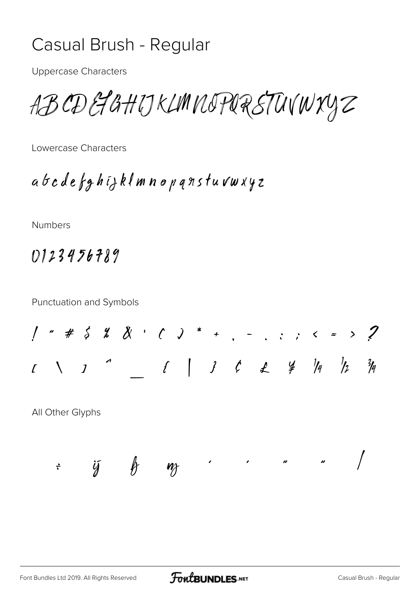## Casual Brush - Regular

Uppercase Characters

ABCDEFGHIJKLMNOPQRSTUVWXYZ

Lowercase Characters

abcdefghijklmnopqrstuvwxyz

Numbers

0123456789

Punctuation and Symbols

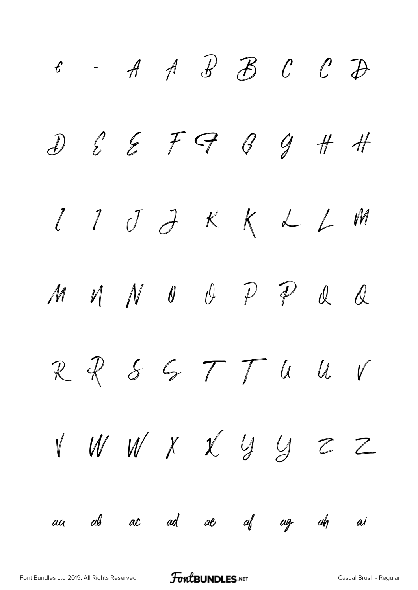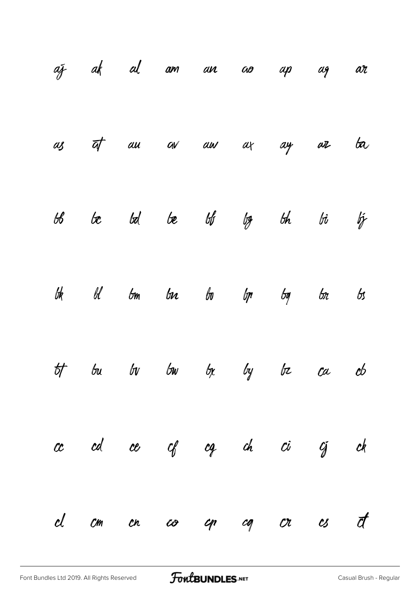|  |  | az ak al am an ao ap ag ar            |  |         |
|--|--|---------------------------------------|--|---------|
|  |  | as <del>at</del> au av au ax ay ar ba |  |         |
|  |  | $66$ be $66$ be $66$ by $66$ bi bj    |  |         |
|  |  | bk bl bm ba bo bp bg bn               |  | $\beta$ |
|  |  | tt bu bv bw bx by bz ca cb            |  |         |
|  |  | ce ed ce cf cg ch ci cj ck            |  |         |
|  |  | d cm en co en cq or es et             |  |         |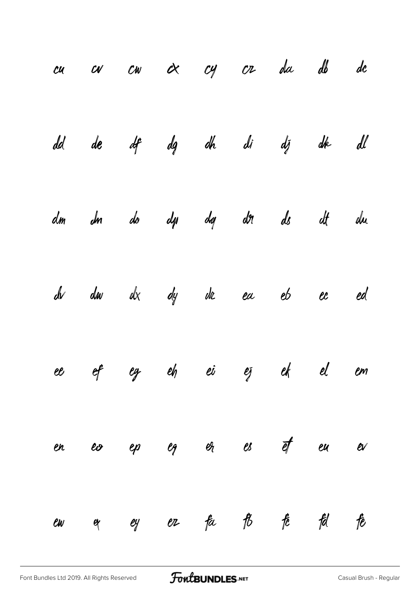|    |          |  |  | cu cu cw cx cy cr da db dc                               |       |  |
|----|----------|--|--|----------------------------------------------------------|-------|--|
|    |          |  |  | dd de df dg dh di dj dk dl                               |       |  |
|    |          |  |  | dm dm do dp dg dr ds dt du                               |       |  |
|    |          |  |  | $d\nu$ $d\omega$ $d\chi$ $d\gamma$ $d\alpha$ ea eb ec ed |       |  |
|    |          |  |  | ee ef eg eh ei ej ek el em                               |       |  |
|    |          |  |  | en eo ep eg er es ef eu ev                               |       |  |
| ew | $\alpha$ |  |  | ey er fa fb fc                                           | fd fe |  |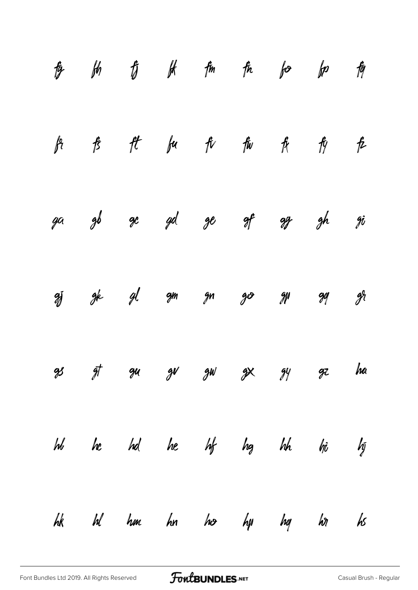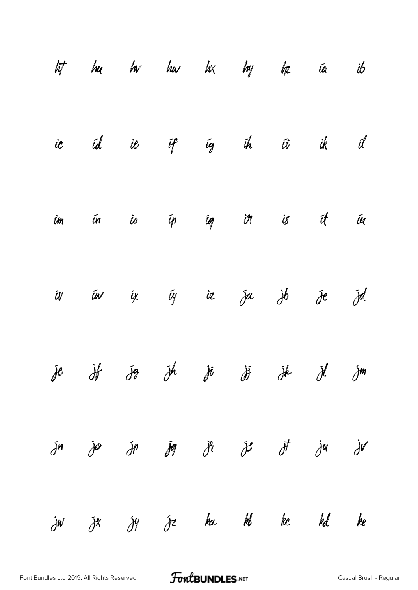|                    |                         | It hu hv hu h $\times$ hy hz ia ib                                           |  |                                                       |                |
|--------------------|-------------------------|------------------------------------------------------------------------------|--|-------------------------------------------------------|----------------|
|                    |                         | ic id ie if ig ih ii ik il                                                   |  |                                                       |                |
|                    |                         | îm ứn io ýn íg in is ít íu                                                   |  |                                                       |                |
|                    |                         | iv in ix iy iz ja jb je jd                                                   |  |                                                       |                |
|                    |                         | je j< jg jh ji ji jk jl jm                                                   |  |                                                       |                |
|                    |                         | $\tilde{J}$ n jo $\tilde{J}$ n $\tilde{J}$ q j $\tilde{J}$ j $J$ $\tilde{J}$ |  | $\dot{\partial}^{\dot{u}}$ $\dot{\partial}^{\dot{v}}$ |                |
| $\dot{\partial}$ W | $\bar{\partial}^{\chi}$ | $\mathcal{Y}'$ $\mathcal{Y}$ be $\mathcal{Y}'$ be $\mathcal{Y}'$             |  |                                                       | $\mathbf{k}$ e |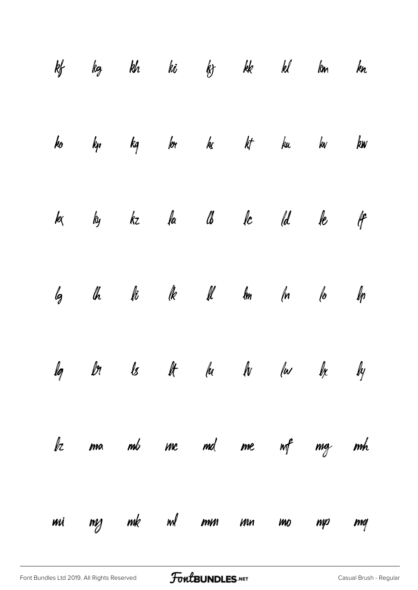|    | kf kg kh ki kj kk kl km kn                                              |  |                      |  |     |
|----|-------------------------------------------------------------------------|--|----------------------|--|-----|
|    | ko kp kg kor kz kt ku kv k <b>w</b>                                     |  |                      |  |     |
|    | k ky kz fa lb fc (d le lf                                               |  |                      |  |     |
|    | $\ell_3$ $\ell_b$ $\ell_b$ $\ell_b$ $\ell_b$ $\ell_b$ $\ell_b$ $\ell_b$ |  |                      |  |     |
|    | lg ln ls lt lu lv lu lx ly                                              |  |                      |  |     |
|    | bz ma mb mc md me nof mg mh                                             |  |                      |  |     |
| MÄ |                                                                         |  | mg mk ml mm mn mo mp |  | maj |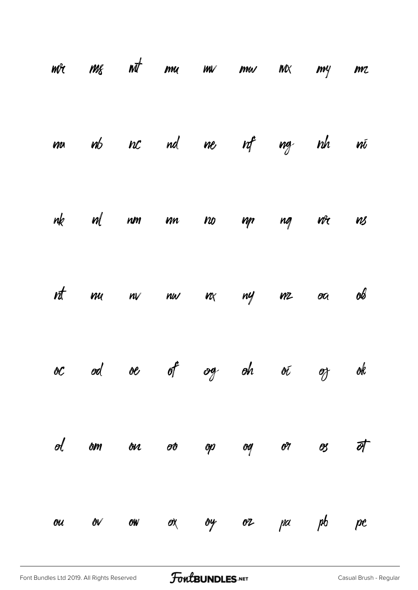|    | $m$ r $m$ g $n\bar{d}$ $m$ u $m$ $m$ w $m$ |  |  |       |    |
|----|--------------------------------------------|--|--|-------|----|
|    | ma nb nc nd ne nf ng nh                    |  |  |       | Wĺ |
|    | nk ml nm mn no mp ng n <sup>g</sup> c ns   |  |  |       |    |
|    | nt mu nv nu nx ny mz oa ob                 |  |  |       |    |
|    | oc od oe of og oh oi oz ok                 |  |  |       |    |
|    | ol om ou oo op og or                       |  |  | os at |    |
| ou | ov ow ox by oz                             |  |  | pa pb | pc |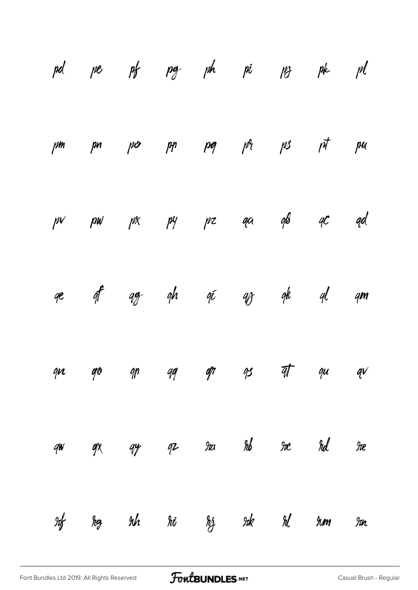|               |               |  |  | pd pe pf pg ph pi ps pk pl                                  |               |
|---------------|---------------|--|--|-------------------------------------------------------------|---------------|
|               |               |  |  | $\gamma$ m pin po pin pog ph ps pt pu                       |               |
|               |               |  |  | $p$ $p$ $p$ $p$ $p$ $p$ $p$ $p$ $p$ $q$ $q$ $q$ $q$ $q$ $q$ |               |
|               |               |  |  | qe q <sup>e</sup> qg qh qi qg qk ql qm                      |               |
|               |               |  |  | que go que que gr que avec                                  |               |
| qw            | $\mathscr{A}$ |  |  | gy gz ra rob re rd                                          | $\mathcal{H}$ |
| $\mathcal{H}$ |               |  |  | hg tih hi tij tik til tim tin                               |               |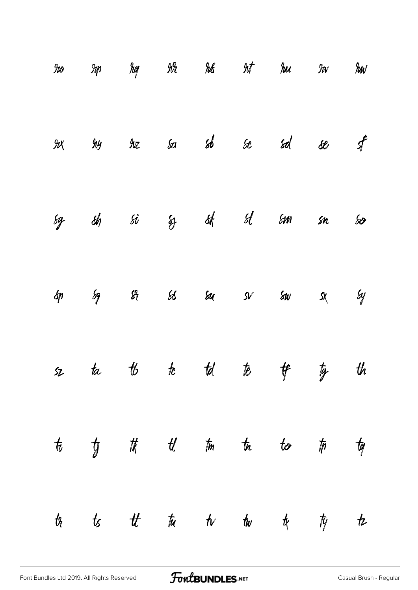| $\mathcal H\!\!\mathit{o}$ |                                 |  |                            | Iq hq IA hk Int hu Iw hw                |                  |
|----------------------------|---------------------------------|--|----------------------------|-----------------------------------------|------------------|
|                            |                                 |  |                            | $9x$ $9y$ $9x$ $5a$ $5b$ $5c$ $5d$ $5e$ | $\hat{f}$        |
|                            |                                 |  |                            | sg sh si sj sk sl sm sn sv              |                  |
| $\oint$                    | $\mathscr{S}_2$ $\mathscr{S}_1$ |  | $88$ $54$ $54$ $54$ $54$   |                                         | $\mathcal{S}$    |
|                            |                                 |  |                            | sz ta tó te tel te t <del>f</del> tg th |                  |
|                            |                                 |  | to to the tell time to too | $t$ <sub>p</sub> $t$ <sub>q</sub>       |                  |
| $t_{\ell}$                 |                                 |  |                            |                                         | $\boldsymbol{t}$ |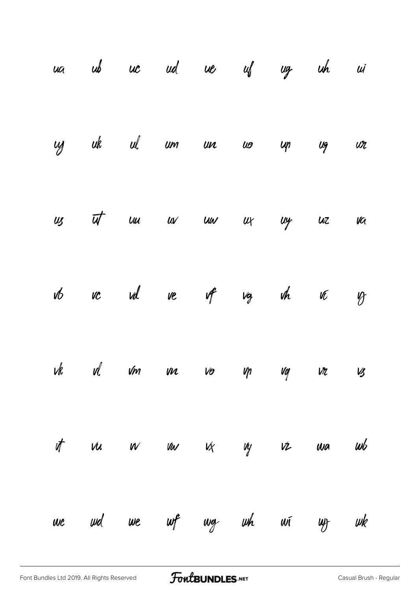|  |  | ua ub uc ud ue uf ug uh ui   |  |  |
|--|--|------------------------------|--|--|
|  |  | cy ak al um un uo up ug ur   |  |  |
|  |  | us ut un uv un ur uy uz va   |  |  |
|  |  | vto ve vel ve ve vg vh ve vz |  |  |
|  |  | vk vl vm vn vo vp vg vr vs   |  |  |
|  |  | it vu vv vu vx vy vz wa wb   |  |  |
|  |  | we we we wf wg wh wi wy wk   |  |  |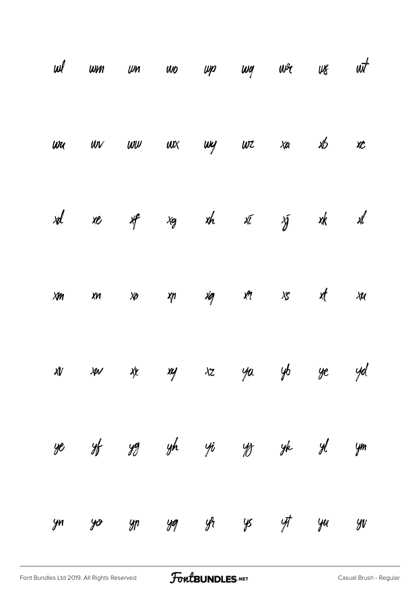|        | $\omega l$ $\omega m$ $\omega o$ $\omega p$ $\omega q$ $\omega$ $\alpha$ $\omega t$ |    |    |       |               |                                     |    |    |
|--------|-------------------------------------------------------------------------------------|----|----|-------|---------------|-------------------------------------|----|----|
|        | $wu$ $uv$ $uvv$ $ux$ $uvy$ $wz$ $xa$ $xb$                                           |    |    |       |               |                                     |    | XC |
|        | xd xe xf                                                                            |    |    |       |               | xg xh xī yī xk xl                   |    |    |
| $X\!M$ | $x_n$                                                                               |    |    |       |               | $x_0$ $x_1$ $x_2$ $x_3$ $x_5$ $x_1$ |    | XU |
|        | xv xv xy xz ya yb ye yd                                                             |    |    |       |               |                                     |    |    |
| ye     |                                                                                     |    |    |       |               | sf yg yh yi ys yk yl ym             |    |    |
| yn     | yo                                                                                  | yp | yq | $y_t$ | $\frac{1}{2}$ | $\frac{1}{\sqrt{2}}$                | уи | yv |